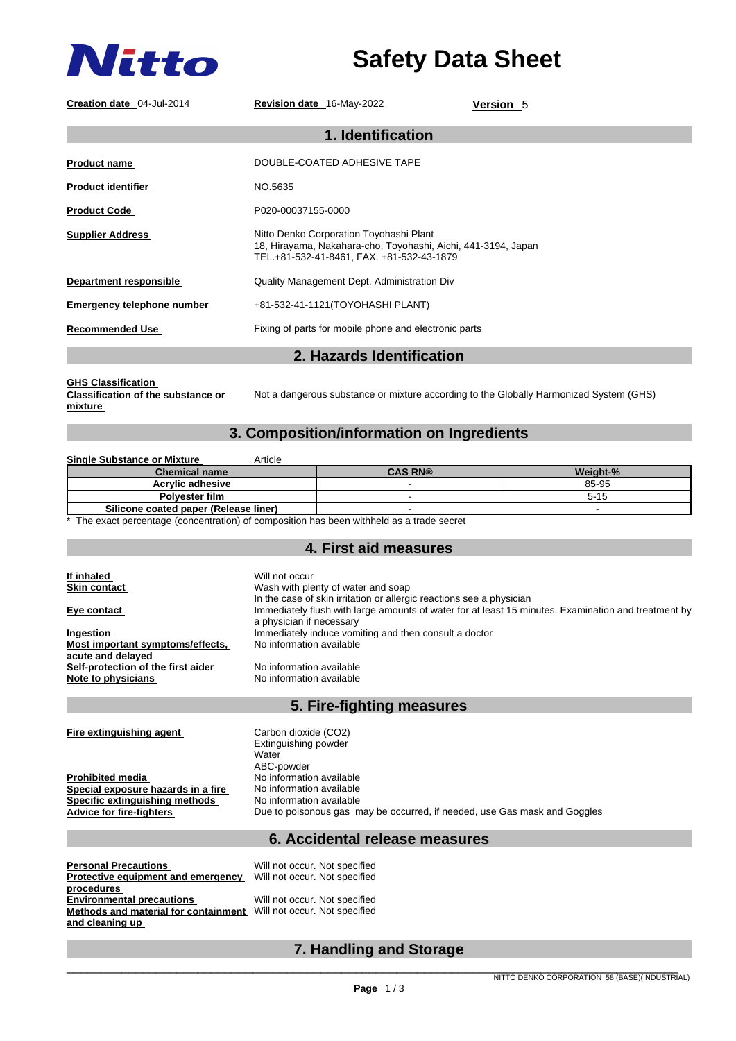

# **Safety Data Sheet**

| Creation date 04-Jul-2014                                                                                                                                                                   | Revision date 16-May-2022                                                                                                                             | Version 5                                                                                           |
|---------------------------------------------------------------------------------------------------------------------------------------------------------------------------------------------|-------------------------------------------------------------------------------------------------------------------------------------------------------|-----------------------------------------------------------------------------------------------------|
| 1. Identification                                                                                                                                                                           |                                                                                                                                                       |                                                                                                     |
| <b>Product name</b>                                                                                                                                                                         | DOUBLE-COATED ADHESIVE TAPE                                                                                                                           |                                                                                                     |
| <b>Product identifier</b>                                                                                                                                                                   | NO.5635                                                                                                                                               |                                                                                                     |
| <b>Product Code</b>                                                                                                                                                                         | P020-00037155-0000                                                                                                                                    |                                                                                                     |
| <b>Supplier Address</b>                                                                                                                                                                     | Nitto Denko Corporation Toyohashi Plant<br>18, Hirayama, Nakahara-cho, Toyohashi, Aichi, 441-3194, Japan<br>TEL.+81-532-41-8461, FAX. +81-532-43-1879 |                                                                                                     |
| <b>Department responsible</b>                                                                                                                                                               | Quality Management Dept. Administration Div                                                                                                           |                                                                                                     |
| <b>Emergency telephone number</b>                                                                                                                                                           | +81-532-41-1121(TOYOHASHI PLANT)                                                                                                                      |                                                                                                     |
| <b>Recommended Use</b>                                                                                                                                                                      | Fixing of parts for mobile phone and electronic parts                                                                                                 |                                                                                                     |
|                                                                                                                                                                                             | 2. Hazards Identification                                                                                                                             |                                                                                                     |
| <b>Classification of the substance or</b><br>Not a dangerous substance or mixture according to the Globally Harmonized System (GHS)<br>mixture<br>3. Composition/information on Ingredients |                                                                                                                                                       |                                                                                                     |
| <b>Single Substance or Mixture</b>                                                                                                                                                          | Article                                                                                                                                               |                                                                                                     |
| <b>Chemical name</b>                                                                                                                                                                        | <b>CAS RN®</b>                                                                                                                                        |                                                                                                     |
|                                                                                                                                                                                             |                                                                                                                                                       | Weight-%                                                                                            |
| <b>Acrylic adhesive</b>                                                                                                                                                                     | $\mathbf{r}$                                                                                                                                          | 85-95                                                                                               |
| Polyester film                                                                                                                                                                              | ÷.                                                                                                                                                    | $5 - 15$                                                                                            |
| Silicone coated paper (Release liner)                                                                                                                                                       | $\sim$                                                                                                                                                | $\sim$                                                                                              |
|                                                                                                                                                                                             | The exact percentage (concentration) of composition has been withheld as a trade secret                                                               |                                                                                                     |
|                                                                                                                                                                                             |                                                                                                                                                       |                                                                                                     |
|                                                                                                                                                                                             | 4. First aid measures                                                                                                                                 |                                                                                                     |
|                                                                                                                                                                                             |                                                                                                                                                       |                                                                                                     |
| If inhaled<br><b>Skin contact</b>                                                                                                                                                           | Will not occur<br>Wash with plenty of water and soap                                                                                                  |                                                                                                     |
|                                                                                                                                                                                             | In the case of skin irritation or allergic reactions see a physician                                                                                  |                                                                                                     |
| Eye contact                                                                                                                                                                                 |                                                                                                                                                       | Immediately flush with large amounts of water for at least 15 minutes. Examination and treatment by |
|                                                                                                                                                                                             | a physician if necessary                                                                                                                              |                                                                                                     |
| Ingestion                                                                                                                                                                                   | Immediately induce vomiting and then consult a doctor                                                                                                 |                                                                                                     |
| Most important symptoms/effects,                                                                                                                                                            | No information available                                                                                                                              |                                                                                                     |
| acute and delayed                                                                                                                                                                           |                                                                                                                                                       |                                                                                                     |
| Self-protection of the first aider                                                                                                                                                          | No information available<br>No information available                                                                                                  |                                                                                                     |
| Note to physicians                                                                                                                                                                          |                                                                                                                                                       |                                                                                                     |

## **5. Fire-fighting measures**

| Fire extinguishing agent           | Carbon dioxide (CO2)                                                      |
|------------------------------------|---------------------------------------------------------------------------|
|                                    | Extinguishing powder                                                      |
|                                    | Water                                                                     |
|                                    | ABC-powder                                                                |
| <b>Prohibited media</b>            | No information available                                                  |
| Special exposure hazards in a fire | No information available                                                  |
| Specific extinguishing methods     | No information available                                                  |
| Advice for fire-fighters           | Due to poisonous gas may be occurred, if needed, use Gas mask and Goggles |
|                                    |                                                                           |

## **6. Accidental release measures**

| <b>Personal Precautions</b>          | Will not occur. Not specified |
|--------------------------------------|-------------------------------|
| Protective equipment and emergency   | Will not occur. Not specified |
| procedures                           |                               |
| <b>Environmental precautions</b>     | Will not occur. Not specified |
| Methods and material for containment | Will not occur. Not specified |
| and cleaning up                      |                               |

## **7. Handling and Storage**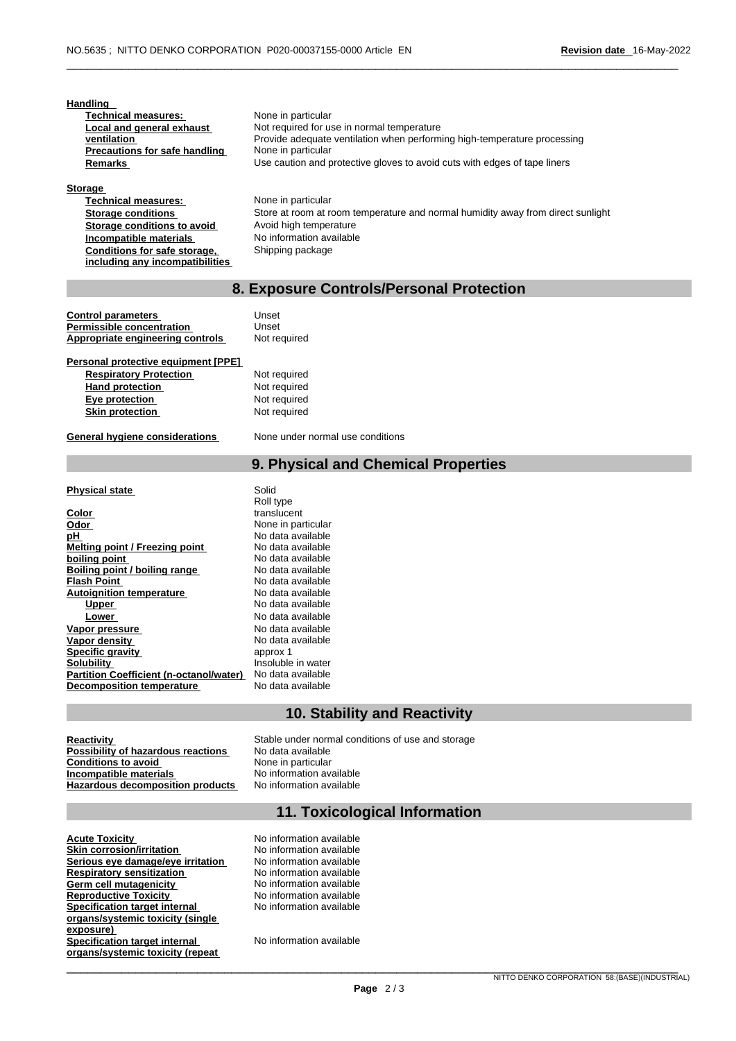| Handling<br><b>Technical measures:</b><br>Local and general exhaust<br>ventilation<br><b>Precautions for safe handling</b><br>Remarks | None in particular<br>Not required for use in normal temperature<br>Provide adequate ventilation when performing high-temperature processing<br>None in particular<br>Use caution and protective gloves to avoid cuts with edges of tape liners |
|---------------------------------------------------------------------------------------------------------------------------------------|-------------------------------------------------------------------------------------------------------------------------------------------------------------------------------------------------------------------------------------------------|
| <b>Storage</b>                                                                                                                        |                                                                                                                                                                                                                                                 |
| <b>Technical measures:</b>                                                                                                            | None in particular                                                                                                                                                                                                                              |
| <b>Storage conditions</b>                                                                                                             | Store at room at room temperature and normal humidity away from direct sunlight                                                                                                                                                                 |
| Storage conditions to avoid                                                                                                           | Avoid high temperature                                                                                                                                                                                                                          |
| Incompatible materials                                                                                                                | No information available                                                                                                                                                                                                                        |
| Conditions for safe storage,                                                                                                          | Shipping package                                                                                                                                                                                                                                |
| including any incompatibilities                                                                                                       |                                                                                                                                                                                                                                                 |
|                                                                                                                                       |                                                                                                                                                                                                                                                 |
| 8. Exposure Controls/Personal Protection                                                                                              |                                                                                                                                                                                                                                                 |

#### **Control parameters** Unset<br> **Permissible concentration** Unset **Permissible concentration** Appropriate engineering controls Not required

| Personal protective equipment [PPE] |           |
|-------------------------------------|-----------|
| <b>Respiratory Protection</b>       | Not requi |
| <b>Hand protection</b>              | Not requi |
| Eye protection                      | Not requi |
| <b>Skin protection</b>              | Not requi |

**General hygiene considerations** None under normal use conditions

## **9. Physical and Chemical Properties**

#### **Physical state** Solid

| Color                                          |  |
|------------------------------------------------|--|
| Odor                                           |  |
| рH                                             |  |
| <b>Melting point / Freezing point</b>          |  |
| boiling point                                  |  |
| Boiling point / boiling range                  |  |
| <b>Flash Point</b>                             |  |
| <b>Autoignition temperature</b>                |  |
| <u>Upper</u>                                   |  |
| Lower                                          |  |
| Vapor pressure                                 |  |
| Vapor density                                  |  |
| <b>Specific gravity</b>                        |  |
| <b>Solubility</b>                              |  |
| <b>Partition Coefficient (n-octanol/water)</b> |  |
| <b>Decomposition temperature</b>               |  |

#### Roll type **Color** translucent **Odor** None in particular **pH** No data available **Melting point / Freezing point** No data available **boiling point** No data available **Boiling point / boiling range** No data available **Flash Point** No data available **No data available Upper** No data available **Lower** No data available **Vapor pressure** No data available **No data available** approx 1 Insoluble in water **Partition Coefficient (n-octanol/water)** No data available **No data available**

**required** required **Exercise required** 

## **10. Stability and Reactivity**

### **Possibility of hazardous reactions** No data available<br> **Conditions to avoid** None in particular **Conditions to avoid Mone in particular Conditions to avoid Mone in particular Incompatible materials No information available Incompatible materials**<br> **Incomposition products** No information available<br>
No information available **Hazardous decomposition products**

**Reactivity**<br> **Reactivity** of hazardous reactions<br>
No data available<br>
No data available

## **11. Toxicological Information**

| <b>Acute Toxicity</b>                | No information available |
|--------------------------------------|--------------------------|
| <b>Skin corrosion/irritation</b>     | No information available |
| Serious eye damage/eye irritation    | No information available |
| <b>Respiratory sensitization</b>     | No information available |
| Germ cell mutagenicity               | No information available |
| <b>Reproductive Toxicity</b>         | No information available |
| <b>Specification target internal</b> | No information available |
| organs/systemic toxicity (single     |                          |
| exposure)                            |                          |
| <b>Specification target internal</b> | No information available |
| organs/systemic toxicity (repeat     |                          |
|                                      |                          |